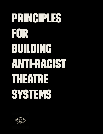# PRINCIPLES FOR BUILDING ANTERAGST ▌▌▏▏▊▖▏▌▚▎▆ S'STEVS

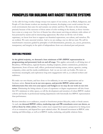# PRINCIPLES FOR BUILDING ANTI RACIST THEATRE SYSTEMS

As the calls for long overdue change sweep every aspect of our society, we as Black, Indigenous, and People of Color theatre workers are meeting the moment, developing a new social contract for our work environments that cares for and sustains our artistry and lives. We insist on this reckoning precisely because of the successes of those artists of color working in the theatre, as those victories have come at a steep cost. Our love of theatre has often meant surviving an industry-wide culture of fear poisoned by racism and its intersecting oppressions. But when we lift the veil of white supremacy, we know how best to support our theatrical expressions, our culture, and ourselves. We are resilient. We carry ancestral wisdom. And so we are ending a war we did not start. We call for transformative measures guided by principles of self-determination, presence, joy, access, protection, transparency and integrity in the spirit of independence from our colonized past and present.

#### EQUITABLE PRESENCE

**As the global majority, we demand a bare minimum of 50% BIPOC representation in programming and personnel, both on and off stage.** This applies universally to all hiring tiers of Broadway, Off Broadway, regional theatres, funding recipients, artistic commissions, production departments, front of house staff, offices, professional training centers, unions, agencies, casting companies, critics and the media establishment. And--we are not only our bodies. We insist on intentional, meaningful, and exploratory long term engagements with us, as cultural workers and audiences.

We make our own theatre, and have done so for millennia, in our own organizations and as freelance artists. **Invest in us in our own spaces, and provide BIPOC artists and our infrastructures free rein over your spaces and budgets so we may do our work on our own terms.** Eliminating the hiring criteria of years of experience or degree requirements will also foster this 50% minimum in white spaces, as will the development and retention of robust BIPOC student cohorts and faculty in professional training departments with historically less BIPOC representation than performance.

Reviews introduce us to audiences, extend or foreshorten project lifecycles, make or break careers. As such, **we demand BIPOC critics, marketing reps and PR consultants cover our shows, as**  well as those by white artists. Press outlets must expand their narrow perspectives by hiring more of us as contractors, and depend less upon salaried critics. We demand investment in BIPOC critic training and fellowships, as well as in BIPOC media, marketing, and public relations firms.

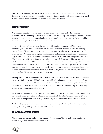Our BIPOC community members with disabilities have led the way in revealing that when theatre facilities are accessible, everyone benefits. A similar principle applies with equitable presence for all BIPOC theatre artists: everyone benefits when we create excellence.

## CODE OF CONDUCT

**We demand structures for our protection in white spaces and with white artistic collaborators immediately.** Antiracism must become a mandatory, well-budgeted, and explicit core value, with interventionist practices implemented universally and consistently to dismantle white supremacy throughout institutions and project workflow.

An antiracist code of conduct must be adopted, with trainings instituted and Native land acknowledged at the start of every rehearsal process, production meeting, theatre walkthrough, casting, board, PR, and marketing session, then maintained by all employees, contractors, vendors and investors. Protocols for disrupting racist incidents and repairing harm after an accumulation of aggressions, volitional or "accidental", should be normalized, without penalizing the harmed party. The show must NOT go on if our wellbeing is compromised. Respect our skin, our shapes, our black hair, our bodies, and know we are not only our bodies. Respect our instincts, our knowledge, our aesthetics, our practices. Do not police us or our audiences. Do not exploit us or relegate us to the second stage. Do not determine our value by reviews or ticket sales or white cultural standards. Achieve cultural competency in *us*. Address *your* vocabulary, behavior, implicit bias, and lack of understanding. We are the experts, not the accessory.

**"Safety first" is the theatrical motto. Antiracism is what makes us safe.** We demand safe and exclusive affinity spaces for BIPOC protection inside all institutions. Antiracist support staff must be available at all times. Hostile environments and racial harassment must cease, and immediate divestments must be made from police departments and police-affiliated security firms that may endanger our or our communities' safety.

We require community with each other for our sustenance. Our BIPOC community members must be a priority in the cultivation of all audiences, and not only for BIPOC focused shows. We resist paradigms of competition and scarcity, or the fallacy that our narratives must center on trauma.

In all points of contact, we require adherence to the principles of right relationship and equality, and a workplace designed to protect our full personhood.

### TRANSFORMATIVE PRACTICES

**We demand a transformation of our theatrical ecosystem.** We demand your commitment to radical change now, and we will hold you to it.